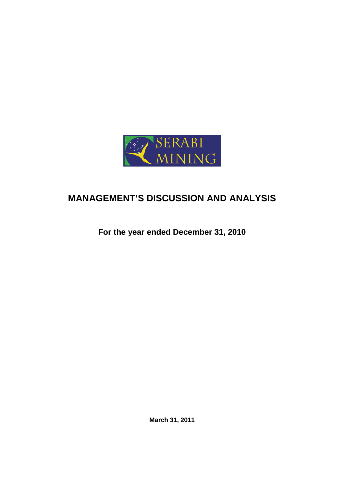

# **MANAGEMENT'S DISCUSSION AND ANALYSIS**

**For the year ended December 31, 2010** 

**March 31, 2011**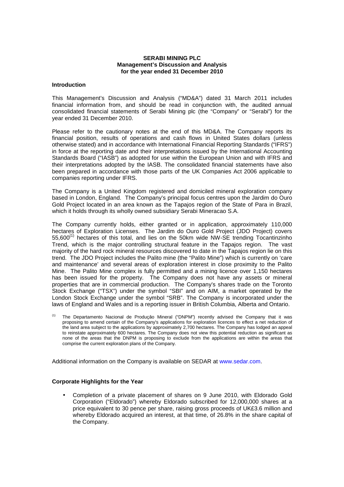## **SERABI MINING PLC Management's Discussion and Analysis for the year ended 31 December 2010**

## **Introduction**

This Management's Discussion and Analysis ("MD&A") dated 31 March 2011 includes financial information from, and should be read in conjunction with, the audited annual consolidated financial statements of Serabi Mining plc (the "Company" or "Serabi") for the year ended 31 December 2010.

Please refer to the cautionary notes at the end of this MD&A. The Company reports its financial position, results of operations and cash flows in United States dollars (unless otherwise stated) and in accordance with International Financial Reporting Standards ("IFRS") in force at the reporting date and their interpretations issued by the International Accounting Standards Board ("IASB") as adopted for use within the European Union and with IFRS and their interpretations adopted by the IASB. The consolidated financial statements have also been prepared in accordance with those parts of the UK Companies Act 2006 applicable to companies reporting under IFRS.

The Company is a United Kingdom registered and domiciled mineral exploration company based in London, England. The Company's principal focus centres upon the Jardim do Ouro Gold Project located in an area known as the Tapajos region of the State of Para in Brazil, which it holds through its wholly owned subsidiary Serabi Mineracao S.A.

The Company currently holds, either granted or in application, approximately 110,000 hectares of Exploration Licenses. The Jardim do Ouro Gold Project (JDO Project) covers  $55,600^{(1)}$  hectares of this total, and lies on the 50km wide NW-SE trending Tocantinzinho Trend, which is the major controlling structural feature in the Tapajos region. The vast majority of the hard rock mineral resources discovered to date in the Tapajos region lie on this trend. The JDO Project includes the Palito mine (the "Palito Mine") which is currently on 'care and maintenance' and several areas of exploration interest in close proximity to the Palito Mine. The Palito Mine complex is fully permitted and a mining licence over 1,150 hectares has been issued for the property. The Company does not have any assets or mineral properties that are in commercial production. The Company's shares trade on the Toronto Stock Exchange ("TSX") under the symbol "SBI" and on AIM, a market operated by the London Stock Exchange under the symbol "SRB". The Company is incorporated under the laws of England and Wales and is a reporting issuer in British Columbia, Alberta and Ontario.

(1) The Departamento Nacional de Produçăo Mineral ("DNPM") recently advised the Company that it was proposing to amend certain of the Company's applications for exploration licences to effect a net reduction of the land area subject to the applications by approximately 2,700 hectares. The Company has lodged an appeal to reinstate approximately 600 hectares. The Company does not view this potential reduction as significant as none of the areas that the DNPM is proposing to exclude from the applications are within the areas that comprise the current exploration plans of the Company.

Additional information on the Company is available on SEDAR at www.sedar.com.

# **Corporate Highlights for the Year**

• Completion of a private placement of shares on 9 June 2010, with Eldorado Gold Corporation ("Eldorado") whereby Eldorado subscribed for 12,000,000 shares at a price equivalent to 30 pence per share, raising gross proceeds of UK£3.6 million and whereby Eldorado acquired an interest, at that time, of 26.8% in the share capital of the Company.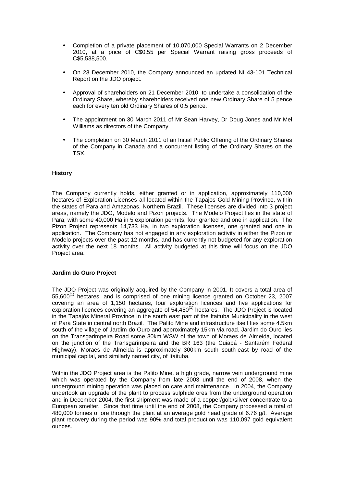- Completion of a private placement of 10,070,000 Special Warrants on 2 December 2010, at a price of C\$0.55 per Special Warrant raising gross proceeds of C\$5,538,500.
- On 23 December 2010, the Company announced an updated NI 43-101 Technical Report on the JDO project.
- Approval of shareholders on 21 December 2010, to undertake a consolidation of the Ordinary Share, whereby shareholders received one new Ordinary Share of 5 pence each for every ten old Ordinary Shares of 0.5 pence.
- The appointment on 30 March 2011 of Mr Sean Harvey, Dr Doug Jones and Mr Mel Williams as directors of the Company.
- The completion on 30 March 2011 of an Initial Public Offering of the Ordinary Shares of the Company in Canada and a concurrent listing of the Ordinary Shares on the TSX.

# **History**

The Company currently holds, either granted or in application, approximately 110,000 hectares of Exploration Licenses all located within the Tapajos Gold Mining Province, within the states of Para and Amazonas, Northern Brazil. These licenses are divided into 3 project areas, namely the JDO, Modelo and Pizon projects. The Modelo Project lies in the state of Para, with some 40,000 Ha in 5 exploration permits, four granted and one in application. The Pizon Project represents 14,733 Ha, in two exploration licenses, one granted and one in application. The Company has not engaged in any exploration activity in either the Pizon or Modelo projects over the past 12 months, and has currently not budgeted for any exploration activity over the next 18 months. All activity budgeted at this time will focus on the JDO Project area.

# **Jardim do Ouro Project**

The JDO Project was originally acquired by the Company in 2001. It covers a total area of  $55,600^{(1)}$  hectares, and is comprised of one mining licence granted on October 23, 2007 covering an area of 1,150 hectares, four exploration licences and five applications for exploration licences covering an aggregate of 54,450<sup>(1)</sup> hectares. The JDO Project is located in the Tapajós Mineral Province in the south east part of the Itaituba Municipality in the west of Pará State in central north Brazil. The Palito Mine and infrastructure itself lies some 4.5km south of the village of Jardim do Ouro and approximately 15km via road. Jardim do Ouro lies on the Transgarimpeira Road some 30km WSW of the town of Moraes de Almeida, located on the junction of the Transgarimpeira and the BR 163 (the Cuiabá - Santarém Federal Highway). Moraes de Almeida is approximately 300km south south-east by road of the municipal capital, and similarly named city, of Itaituba.

Within the JDO Project area is the Palito Mine, a high grade, narrow vein underground mine which was operated by the Company from late 2003 until the end of 2008, when the underground mining operation was placed on care and maintenance. In 2004, the Company undertook an upgrade of the plant to process sulphide ores from the underground operation and in December 2004, the first shipment was made of a copper/gold/silver concentrate to a European smelter. Since that time until the end of 2008, the Company processed a total of 480,000 tonnes of ore through the plant at an average gold head grade of 6.76 g/t. Average plant recovery during the period was 90% and total production was 110,097 gold equivalent ounces.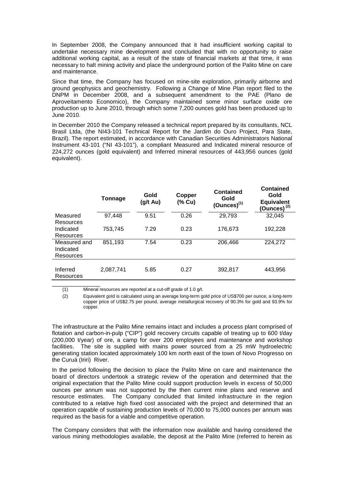In September 2008, the Company announced that it had insufficient working capital to undertake necessary mine development and concluded that with no opportunity to raise additional working capital, as a result of the state of financial markets at that time, it was necessary to halt mining activity and place the underground portion of the Palito Mine on care and maintenance.

Since that time, the Company has focused on mine-site exploration, primarily airborne and ground geophysics and geochemistry. Following a Change of Mine Plan report filed to the DNPM in December 2008, and a subsequent amendment to the PAE (Plano de Aproveitamento Economico), the Company maintained some minor surface oxide ore production up to June 2010, through which some 7,200 ounces gold has been produced up to June 2010.

In December 2010 the Company released a technical report prepared by its consultants, NCL Brasil Ltda, (the NI43-101 Technical Report for the Jardim do Ouro Project, Para State, Brazil). The report estimated, in accordance with Canadian Securities Administrators National Instrument 43-101 ("NI 43-101"), a compliant Measured and Indicated mineral resource of 224,272 ounces (gold equivalent) and Inferred mineral resources of 443,956 ounces (gold equivalent).

|                                        | Tonnage   | Gold<br>(g/t Au) | Copper<br>(% Cu) | <b>Contained</b><br>Gold<br>$(Qunces)^{(1)}$ | <b>Contained</b><br>Gold<br><b>Equivalent</b><br>(Ounces) $(2)$ |
|----------------------------------------|-----------|------------------|------------------|----------------------------------------------|-----------------------------------------------------------------|
| Measured<br>Resources                  | 97,448    | 9.51             | 0.26             | 29,793                                       | 32,045                                                          |
| Indicated<br>Resources                 | 753,745   | 7.29             | 0.23             | 176,673                                      | 192,228                                                         |
| Measured and<br>Indicated<br>Resources | 851,193   | 7.54             | 0.23             | 206,466                                      | 224,272                                                         |
| Inferred<br>Resources                  | 2,087,741 | 5.85             | 0.27             | 392,817                                      | 443,956                                                         |

\_\_\_\_\_\_\_\_\_\_\_\_\_\_\_ (1) Mineral resources are reported at a cut-off grade of 1.0 g/t.

(2) Equivalent gold is calculated using an average long-term gold price of US\$700 per ounce, a long-term copper price of US\$2.75 per pound, average metallurgical recovery of 90.3% for gold and 93.9% for copper.

The infrastructure at the Palito Mine remains intact and includes a process plant comprised of flotation and carbon-in-pulp ("CIP") gold recovery circuits capable of treating up to 600 t/day (200,000 t/year) of ore, a camp for over 200 employees and maintenance and workshop facilities. The site is supplied with mains power sourced from a 25 mW hydroelectric generating station located approximately 100 km north east of the town of Novo Progresso on the Curuá (Iriri) River.

In the period following the decision to place the Palito Mine on care and maintenance the board of directors undertook a strategic review of the operation and determined that the original expectation that the Palito Mine could support production levels in excess of 50,000 ounces per annum was not supported by the then current mine plans and reserve and resource estimates. The Company concluded that limited infrastructure in the region contributed to a relative high fixed cost associated with the project and determined that an operation capable of sustaining production levels of 70,000 to 75,000 ounces per annum was required as the basis for a viable and competitive operation.

The Company considers that with the information now available and having considered the various mining methodologies available, the deposit at the Palito Mine (referred to herein as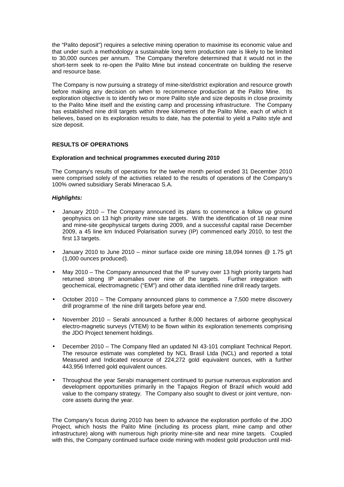the "Palito deposit") requires a selective mining operation to maximise its economic value and that under such a methodology a sustainable long term production rate is likely to be limited to 30,000 ounces per annum. The Company therefore determined that it would not in the short-term seek to re-open the Palito Mine but instead concentrate on building the reserve and resource base.

The Company is now pursuing a strategy of mine-site/district exploration and resource growth before making any decision on when to recommence production at the Palito Mine. Its exploration objective is to identify two or more Palito style and size deposits in close proximity to the Palito Mine itself and the existing camp and processing infrastructure. The Company has established nine drill targets within three kilometres of the Palito Mine, each of which it believes, based on its exploration results to date, has the potential to yield a Palito style and size deposit.

# **RESULTS OF OPERATIONS**

#### **Exploration and technical programmes executed during 2010**

The Company's results of operations for the twelve month period ended 31 December 2010 were comprised solely of the activities related to the results of operations of the Company's 100% owned subsidiary Serabi Mineracao S.A.

## **Highlights:**

- January 2010 The Company announced its plans to commence a follow up ground geophysics on 13 high priority mine site targets. With the identification of 18 near mine and mine-site geophysical targets during 2009, and a successful capital raise December 2009, a 45 line km Induced Polarisation survey (IP) commenced early 2010, to test the first 13 targets.
- January 2010 to June 2010 minor surface oxide ore mining 18,094 tonnes  $@$  1.75 g/t (1,000 ounces produced).
- May 2010 The Company announced that the IP survey over 13 high priority targets had returned strong IP anomalies over nine of the targets. Further integration with geochemical, electromagnetic ("EM") and other data identified nine drill ready targets.
- October 2010 The Company announced plans to commence a 7,500 metre discovery drill programme of the nine drill targets before year end.
- November 2010 Serabi announced a further 8,000 hectares of airborne geophysical electro-magnetic surveys (VTEM) to be flown within its exploration tenements comprising the JDO Project tenement holdings.
- December 2010 The Company filed an updated NI 43-101 compliant Technical Report. The resource estimate was completed by NCL Brasil Ltda (NCL) and reported a total Measured and Indicated resource of 224,272 gold equivalent ounces, with a further 443,956 Inferred gold equivalent ounces.
- Throughout the year Serabi management continued to pursue numerous exploration and development opportunities primarily in the Tapajos Region of Brazil which would add value to the company strategy. The Company also sought to divest or joint venture, noncore assets during the year.

The Company's focus during 2010 has been to advance the exploration portfolio of the JDO Project, which hosts the Palito Mine (including its process plant, mine camp and other infrastructure) along with numerous high priority mine-site and near mine targets. Coupled with this, the Company continued surface oxide mining with modest gold production until mid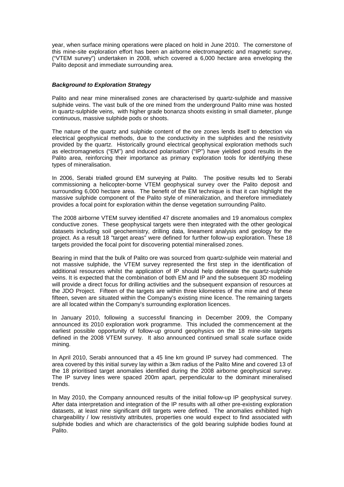year, when surface mining operations were placed on hold in June 2010. The cornerstone of this mine-site exploration effort has been an airborne electromagnetic and magnetic survey, ("VTEM survey") undertaken in 2008, which covered a 6,000 hectare area enveloping the Palito deposit and immediate surrounding area.

# **Background to Exploration Strategy**

Palito and near mine mineralised zones are characterised by quartz-sulphide and massive sulphide veins. The vast bulk of the ore mined from the underground Palito mine was hosted in quartz-sulphide veins, with higher grade bonanza shoots existing in small diameter, plunge continuous, massive sulphide pods or shoots.

The nature of the quartz and sulphide content of the ore zones lends itself to detection via electrical geophysical methods, due to the conductivity in the sulphides and the resistivity provided by the quartz. Historically ground electrical geophysical exploration methods such as electromagnetics ("EM") and induced polarisation ("IP") have yielded good results in the Palito area, reinforcing their importance as primary exploration tools for identifying these types of mineralisation.

In 2006, Serabi trialled ground EM surveying at Palito. The positive results led to Serabi commissioning a helicopter-borne VTEM geophysical survey over the Palito deposit and surrounding 6,000 hectare area. The benefit of the EM technique is that it can highlight the massive sulphide component of the Palito style of mineralization, and therefore immediately provides a focal point for exploration within the dense vegetation surrounding Palito.

The 2008 airborne VTEM survey identified 47 discrete anomalies and 19 anomalous complex conductive zones. These geophysical targets were then integrated with the other geological datasets including soil geochemistry, drilling data, lineament analysis and geology for the project. As a result 18 "target areas" were defined for further follow-up exploration. These 18 targets provided the focal point for discovering potential mineralised zones.

Bearing in mind that the bulk of Palito ore was sourced from quartz-sulphide vein material and not massive sulphide, the VTEM survey represented the first step in the identification of additional resources whilst the application of IP should help delineate the quartz-sulphide veins. It is expected that the combination of both EM and IP and the subsequent 3D modeling will provide a direct focus for drilling activities and the subsequent expansion of resources at the JDO Project. Fifteen of the targets are within three kilometres of the mine and of these fifteen, seven are situated within the Company's existing mine licence. The remaining targets are all located within the Company's surrounding exploration licences.

In January 2010, following a successful financing in December 2009, the Company announced its 2010 exploration work programme. This included the commencement at the earliest possible opportunity of follow-up ground geophysics on the 18 mine-site targets defined in the 2008 VTEM survey. It also announced continued small scale surface oxide mining.

In April 2010, Serabi announced that a 45 line km ground IP survey had commenced. The area covered by this initial survey lay within a 3km radius of the Palito Mine and covered 13 of the 18 prioritised target anomalies identified during the 2008 airborne geophysical survey. The IP survey lines were spaced 200m apart, perpendicular to the dominant mineralised trends.

In May 2010, the Company announced results of the initial follow-up IP geophysical survey. After data interpretation and integration of the IP results with all other pre-existing exploration datasets, at least nine significant drill targets were defined. The anomalies exhibited high chargeability / low resistivity attributes, properties one would expect to find associated with sulphide bodies and which are characteristics of the gold bearing sulphide bodies found at Palito.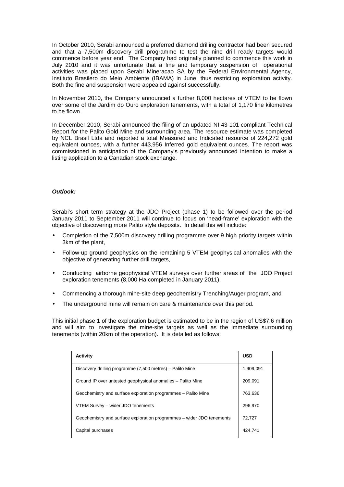In October 2010, Serabi announced a preferred diamond drilling contractor had been secured and that a 7,500m discovery drill programme to test the nine drill ready targets would commence before year end. The Company had originally planned to commence this work in July 2010 and it was unfortunate that a fine and temporary suspension of operational activities was placed upon Serabi Mineracao SA by the Federal Environmental Agency, Instituto Brasilero do Meio Ambiente (IBAMA) in June, thus restricting exploration activity. Both the fine and suspension were appealed against successfully.

In November 2010, the Company announced a further 8,000 hectares of VTEM to be flown over some of the Jardim do Ouro exploration tenements, with a total of 1,170 line kilometres to be flown.

In December 2010, Serabi announced the filing of an updated NI 43-101 compliant Technical Report for the Palito Gold Mine and surrounding area. The resource estimate was completed by NCL Brasil Ltda and reported a total Measured and Indicated resource of 224,272 gold equivalent ounces, with a further 443,956 Inferred gold equivalent ounces. The report was commissioned in anticipation of the Company's previously announced intention to make a listing application to a Canadian stock exchange.

# **Outlook:**

Serabi's short term strategy at the JDO Project (phase 1) to be followed over the period January 2011 to September 2011 will continue to focus on 'head-frame' exploration with the objective of discovering more Palito style deposits. In detail this will include:

- Completion of the 7,500m discovery drilling programme over 9 high priority targets within 3km of the plant,
- Follow-up ground geophysics on the remaining 5 VTEM geophysical anomalies with the objective of generating further drill targets,
- Conducting airborne geophysical VTEM surveys over further areas of the JDO Project exploration tenements (8,000 Ha completed in January 2011),
- Commencing a thorough mine-site deep geochemistry Trenching/Auger program, and
- The underground mine will remain on care & maintenance over this period.

This initial phase 1 of the exploration budget is estimated to be in the region of US\$7.6 million and will aim to investigate the mine-site targets as well as the immediate surrounding tenements (within 20km of the operation). It is detailed as follows:

| Activity                                                              | <b>USD</b> |
|-----------------------------------------------------------------------|------------|
| Discovery drilling programme (7,500 metres) – Palito Mine             | 1,909,091  |
| Ground IP over untested geophysical anomalies - Palito Mine           | 209,091    |
| Geochemistry and surface exploration programmes - Palito Mine         | 763.636    |
| VTEM Survey - wider JDO tenements                                     | 296.970    |
| Geochemistry and surface exploration programmes – wider JDO tenements | 72,727     |
| Capital purchases                                                     | 424.741    |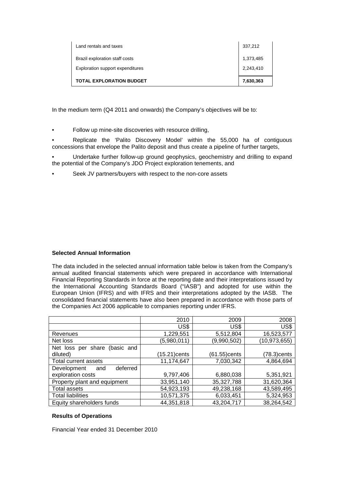| Land rentals and taxes           | 337,212   |
|----------------------------------|-----------|
| Brazil exploration staff costs   | 1,373,485 |
| Exploration support expenditures | 2,243,410 |
| <b>TOTAL EXPLORATION BUDGET</b>  | 7,630,363 |

In the medium term (Q4 2011 and onwards) the Company's objectives will be to:

• Follow up mine-site discoveries with resource drilling,

• Replicate the 'Palito Discovery Model' within the 55,000 ha of contiguous concessions that envelope the Palito deposit and thus create a pipeline of further targets,

- Undertake further follow-up ground geophysics, geochemistry and drilling to expand the potential of the Company's JDO Project exploration tenements, and
- Seek JV partners/buyers with respect to the non-core assets

# **Selected Annual Information**

The data included in the selected annual information table below is taken from the Company's annual audited financial statements which were prepared in accordance with International Financial Reporting Standards in force at the reporting date and their interpretations issued by the International Accounting Standards Board ("IASB") and adopted for use within the European Union (IFRS) and with IFRS and their interpretations adopted by the IASB. The consolidated financial statements have also been prepared in accordance with those parts of the Companies Act 2006 applicable to companies reporting under IFRS.

|                                | 2010         | 2009         | 2008           |
|--------------------------------|--------------|--------------|----------------|
|                                | US\$         | US\$         | US\$           |
| Revenues                       | 1,229,551    | 5,512,804    | 16,523,577     |
| Net loss                       | (5,980,011)  | (9,990,502)  | (10, 973, 655) |
| Net loss per share (basic and  |              |              |                |
| diluted)                       | (15.21)cents | (61.55)cents | (78.3)cents    |
| Total current assets           | 11,174,647   | 7,030,342    | 4,864,694      |
| Development<br>deferred<br>and |              |              |                |
| exploration costs              | 9,797,406    | 6,880,038    | 5,351,921      |
| Property plant and equipment   | 33,951,140   | 35,327,788   | 31,620,364     |
| <b>Total assets</b>            | 54,923,193   | 49,238,168   | 43,589,495     |
| <b>Total liabilities</b>       | 10,571,375   | 6,033,451    | 5,324,953      |
| Equity shareholders funds      | 44,351,818   | 43,204,717   | 38,264,542     |

# **Results of Operations**

Financial Year ended 31 December 2010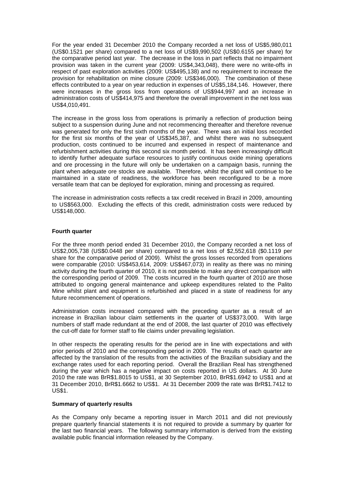For the year ended 31 December 2010 the Company recorded a net loss of US\$5,980,011 (US\$0.1521 per share) compared to a net loss of US\$9,990,502 (US\$0.6155 per share) for the comparative period last year. The decrease in the loss in part reflects that no impairment provision was taken in the current year (2009: US\$4,343,048), there were no write-offs in respect of past exploration activities (2009: US\$495,138) and no requirement to increase the provision for rehabilitation on mine closure (2009: US\$346,000). The combination of these effects contributed to a year on year reduction in expenses of US\$5,184,146. However, there were increases in the gross loss from operations of US\$944,997 and an increase in administration costs of US\$414,975 and therefore the overall improvement in the net loss was US\$4,010,491.

The increase in the gross loss from operations is primarily a reflection of production being subject to a suspension during June and not recommencing thereafter and therefore revenue was generated for only the first sixth months of the year. There was an initial loss recorded for the first six months of the year of US\$345,387, and whilst there was no subsequent production, costs continued to be incurred and expensed in respect of maintenance and refurbishment activities during this second six month period. It has been increasingly difficult to identify further adequate surface resources to justify continuous oxide mining operations and ore processing in the future will only be undertaken on a campaign basis, running the plant when adequate ore stocks are available. Therefore, whilst the plant will continue to be maintained in a state of readiness, the workforce has been reconfigured to be a more versatile team that can be deployed for exploration, mining and processing as required.

The increase in administration costs reflects a tax credit received in Brazil in 2009, amounting to US\$563,000. Excluding the effects of this credit, administration costs were reduced by US\$148,000.

# **Fourth quarter**

For the three month period ended 31 December 2010, the Company recorded a net loss of US\$2,005,738 (US\$0.0448 per share) compared to a net loss of \$2,552,618 (\$0.1119 per share for the comparative period of 2009). Whilst the gross losses recorded from operations were comparable (2010: US\$453,614, 2009: US\$467,073) in reality as there was no mining activity during the fourth quarter of 2010, it is not possible to make any direct comparison with the corresponding period of 2009. The costs incurred in the fourth quarter of 2010 are those attributed to ongoing general maintenance and upkeep expenditures related to the Palito Mine whilst plant and equipment is refurbished and placed in a state of readiness for any future recommencement of operations.

Administration costs increased compared with the preceding quarter as a result of an increase in Brazilian labour claim settlements in the quarter of US\$373,000. With large numbers of staff made redundant at the end of 2008, the last quarter of 2010 was effectively the cut-off date for former staff to file claims under prevailing legislation.

In other respects the operating results for the period are in line with expectations and with prior periods of 2010 and the corresponding period in 2009. The results of each quarter are affected by the translation of the results from the activities of the Brazilian subsidiary and the exchange rates used for each reporting period. Overall the Brazilian Real has strengthened during the year which has a negative impact on costs reported in US dollars. At 30 June 2010 the rate was BrR\$1.8015 to US\$1, at 30 September 2010, BrR\$1.6942 to US\$1 and at 31 December 2010, BrR\$1.6662 to US\$1. At 31 December 2009 the rate was BrR\$1.7412 to US\$1.

# **Summary of quarterly results**

As the Company only became a reporting issuer in March 2011 and did not previously prepare quarterly financial statements it is not required to provide a summary by quarter for the last two financial years. The following summary information is derived from the existing available public financial information released by the Company.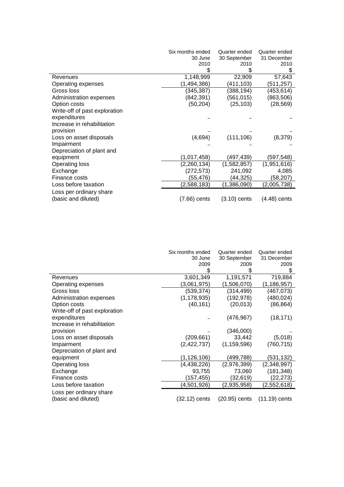|                               | Six months ended | Quarter ended  | Quarter ended  |
|-------------------------------|------------------|----------------|----------------|
|                               | 30 June          | 30 September   | 31 December    |
|                               | 2010             | 2010           | 2010           |
|                               |                  |                |                |
| Revenues                      | 1,148,999        | 22,909         | 57,643         |
| Operating expenses            | (1,494,386)      | (411,103)      | (511,257)      |
| Gross loss                    | (345, 387)       | (388, 194)     | (453, 614)     |
| Administration expenses       | (842, 391)       | (561, 015)     | (863, 506)     |
| Option costs                  | (50, 204)        | (25, 103)      | (28, 569)      |
| Write-off of past exploration |                  |                |                |
| expenditures                  |                  |                |                |
| Increase in rehabilitation    |                  |                |                |
| provision                     |                  |                |                |
| Loss on asset disposals       | (4,694)          | (111, 106)     | (8,379)        |
| Impairment                    |                  |                |                |
| Depreciation of plant and     |                  |                |                |
| equipment                     | (1,017,458)      | (497,439)      | (597,548)      |
| Operating loss                | (2, 260, 134)    | (1,582,857)    | (1,951,616)    |
| Exchange                      | (272, 573)       | 241,092        | 4,085          |
| Finance costs                 | (55,476)         | (44,325)       | (58,207)       |
| Loss before taxation          | (2,588,183)      | (1,386,090)    | (2,005,738)    |
| Loss per ordinary share       |                  |                |                |
| (basic and diluted)           | $(7.66)$ cents   | $(3.10)$ cents | $(4.48)$ cents |

|                               | Six months ended<br>30 June | Quarter ended<br>30 September | Quarter ended<br>31 December |
|-------------------------------|-----------------------------|-------------------------------|------------------------------|
|                               | 2009                        | 2009                          | 2009                         |
|                               | \$                          |                               |                              |
| Revenues                      | 3,601,349                   | 1,191,571                     | 719,884                      |
| Operating expenses            | (3,061,975)                 | (1,506,070)                   | (1, 186, 957)                |
| Gross loss                    | (539, 374)                  | (314, 499)                    | (467,073)                    |
| Administration expenses       | (1, 178, 935)               | (192, 978)                    | (480, 024)                   |
| Option costs                  | (40, 161)                   | (20, 013)                     | (86, 864)                    |
| Write-off of past exploration |                             |                               |                              |
| expenditures                  |                             | (476, 967)                    | (18, 171)                    |
| Increase in rehabilitation    |                             |                               |                              |
| provision                     |                             | (346,000)                     |                              |
| Loss on asset disposals       | (209, 661)                  | 33,442                        | (5,018)                      |
| Impairment                    | (2,422,737)                 | (1, 159, 596)                 | (760, 715)                   |
| Depreciation of plant and     |                             |                               |                              |
| equipment                     | (1, 126, 106)               | (499,788)                     | (531,132)                    |
| Operating loss                | (4, 438, 226)               | (2,976,399)                   | (2,348,997)                  |
| Exchange                      | 93,755                      | 73,060                        | (181, 348)                   |
| Finance costs                 | (157, 455)                  | (32,619)                      | (22,273)                     |
| Loss before taxation          | (4,501,926)                 | (2,935,958)                   | (2,552,618)                  |
| Loss per ordinary share       |                             |                               |                              |
| (basic and diluted)           | (32.12) cents               | (20.95) cents                 | $(11.19)$ cents              |
|                               |                             |                               |                              |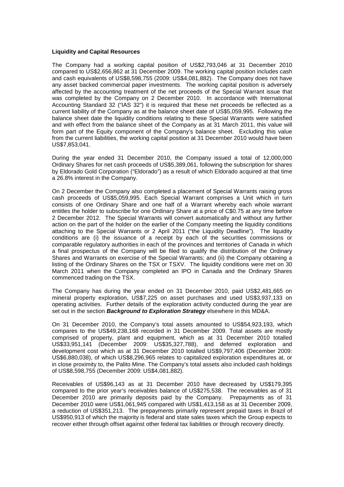## **Liquidity and Capital Resources**

The Company had a working capital position of US\$2,793,046 at 31 December 2010 compared to US\$2,656,862 at 31 December 2009. The working capital position includes cash and cash equivalents of US\$8,598,755 (2009: US\$4,081,882). The Company does not have any asset backed commercial paper investments. The working capital position is adversely affected by the accounting treatment of the net proceeds of the Special Warrant issue that was completed by the Company on 2 December 2010. In accordance with International Accounting Standard 32 ("IAS 32") it is required that these net proceeds be reflected as a current liability of the Company as at the balance sheet date of US\$5,059,995. Following the balance sheet date the liquidity conditions relating to these Special Warrants were satisfied and with effect from the balance sheet of the Company as at 31 March 2011, this value will form part of the Equity component of the Company's balance sheet. Excluding this value from the current liabilities, the working capital position at 31 December 2010 would have been US\$7,853,041.

During the year ended 31 December 2010, the Company issued a total of 12,000,000 Ordinary Shares for net cash proceeds of US\$5,389,061, following the subscription for shares by Eldorado Gold Corporation ("Eldorado") as a result of which Eldorado acquired at that time a 26.8% interest in the Company.

On 2 December the Company also completed a placement of Special Warrants raising gross cash proceeds of US\$5,059,995. Each Special Warrant comprises a Unit which in turn consists of one Ordinary Share and one half of a Warrant whereby each whole warrant entitles the holder to subscribe for one Ordinary Share at a price of C\$0.75 at any time before 2 December 2012. The Special Warrants will convert automatically and without any further action on the part of the holder on the earlier of the Company meeting the liquidity conditions attaching to the Special Warrants or 2 April 2011 ("the Liquidity Deadline"). The liquidity conditions are (i) the issuance of a receipt by each of the securities commissions or comparable regulatory authorities in each of the provinces and territories of Canada in which a final prospectus of the Company will be filed to qualify the distribution of the Ordinary Shares and Warrants on exercise of the Special Warrants; and (ii) the Company obtaining a listing of the Ordinary Shares on the TSX or TSXV. The liquidity conditions were met on 30 March 2011 when the Company completed an IPO in Canada and the Ordinary Shares commenced trading on the TSX.

The Company has during the year ended on 31 December 2010, paid US\$2,481,665 on mineral property exploration, US\$7,225 on asset purchases and used US\$3,937,133 on operating activities. Further details of the exploration activity conducted during the year are set out in the section **Background to Exploration Strategy** elsewhere in this MD&A.

On 31 December 2010, the Company's total assets amounted to US\$54,923,193, which compares to the US\$49,238,168 recorded in 31 December 2009. Total assets are mostly comprised of property, plant and equipment, which as at 31 December 2010 totalled US\$33,951,141 (December 2009: US\$35,327,788), and deferred exploration and development cost which as at 31 December 2010 totalled US\$9,797,406 (December 2009: US\$6,880,038), of which US\$8,296,965 relates to capitalized exploration expenditures at, or in close proximity to, the Palito Mine. The Company's total assets also included cash holdings of US\$8,598,755 (December 2009: US\$4,081,882).

Receivables of US\$96,143 as at 31 December 2010 have decreased by US\$179,395 compared to the prior year's receivables balance of US\$275,538. The receivables as of 31 December 2010 are primarily deposits paid by the Company. Prepayments as of 31 December 2010 were US\$1,061,945 compared with US\$1,413,158 as at 31 December 2009, a reduction of US\$351,213. The prepayments primarily represent prepaid taxes in Brazil of US\$950,913 of which the majority is federal and state sales taxes which the Group expects to recover either through offset against other federal tax liabilities or through recovery directly.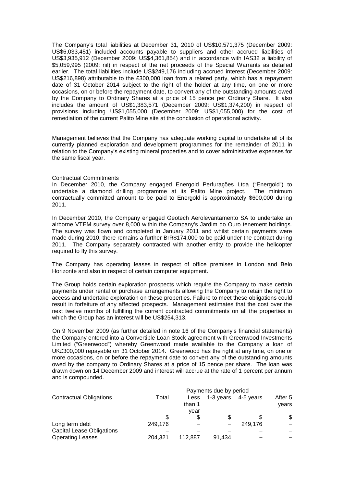The Company's total liabilities at December 31, 2010 of US\$10,571,375 (December 2009: US\$6,033,451) included accounts payable to suppliers and other accrued liabilities of US\$3,935,912 (December 2009: US\$4,361,854) and in accordance with IAS32 a liability of \$5,059,995 (2009: nil) in respect of the net proceeds of the Special Warrants as detailed earlier. The total liabilities include US\$249,176 including accrued interest (December 2009: US\$216,898) attributable to the £300,000 loan from a related party, which has a repayment date of 31 October 2014 subject to the right of the holder at any time, on one or more occasions, on or before the repayment date, to convert any of the outstanding amounts owed by the Company to Ordinary Shares at a price of 15 pence per Ordinary Share. It also includes the amount of US\$1,383,571 (December 2009: US\$1,374,200) in respect of provisions including US\$1,055,000 (December 2009: US\$1,055,000) for the cost of remediation of the current Palito Mine site at the conclusion of operational activity.

Management believes that the Company has adequate working capital to undertake all of its currently planned exploration and development programmes for the remainder of 2011 in relation to the Company's existing mineral properties and to cover administrative expenses for the same fiscal year.

## Contractual Commitments

In December 2010, the Company engaged Energold Perfurações Ltda ("Energold") to undertake a diamond drilling programme at its Palito Mine project. The minimum contractually committed amount to be paid to Energold is approximately \$600,000 during 2011.

In December 2010, the Company engaged Geotech Aerolevantamento SA to undertake an airborne VTEM survey over 8,000 within the Company's Jardim do Ouro tenement holdings. The survey was flown and completed in January 2011 and whilst certain payments were made during 2010, there remains a further BrR\$174,000 to be paid under the contract during 2011. The Company separately contracted with another entity to provide the helicopter required to fly this survey.

The Company has operating leases in respect of office premises in London and Belo Horizonte and also in respect of certain computer equipment.

The Group holds certain exploration prospects which require the Company to make certain payments under rental or purchase arrangements allowing the Company to retain the right to access and undertake exploration on these properties. Failure to meet these obligations could result in forfeiture of any affected prospects. Management estimates that the cost over the next twelve months of fulfilling the current contracted commitments on all the properties in which the Group has an interest will be US\$254,313.

On 9 November 2009 (as further detailed in note 16 of the Company's financial statements) the Company entered into a Convertible Loan Stock agreement with Greenwood Investments Limited ("Greenwood") whereby Greenwood made available to the Company a loan of UK£300,000 repayable on 31 October 2014. Greenwood has the right at any time, on one or more occasions, on or before the repayment date to convert any of the outstanding amounts owed by the company to Ordinary Shares at a price of 15 pence per share. The loan was drawn down on 14 December 2009 and interest will accrue at the rate of 1 percent per annum and is compounded.

|                                  | Payments due by period |         |           |           |         |  |
|----------------------------------|------------------------|---------|-----------|-----------|---------|--|
| <b>Contractual Obligations</b>   | Total                  | Less    | 1-3 years | 4-5 years | After 5 |  |
|                                  |                        | than 1  |           |           | vears   |  |
|                                  |                        | vear    |           |           |         |  |
|                                  |                        |         |           |           | \$      |  |
| Long term debt                   | 249,176                |         |           | 249.176   |         |  |
| <b>Capital Lease Obligations</b> |                        |         |           |           |         |  |
| <b>Operating Leases</b>          | 204.321                | 112.887 | 91,434    |           |         |  |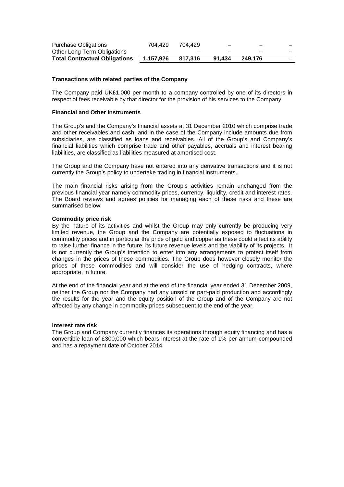| Purchase Obligations                 | 704.429   | 704.429 |                          | -       |  |
|--------------------------------------|-----------|---------|--------------------------|---------|--|
| Other Long Term Obligations          | -         |         | $\overline{\phantom{a}}$ | -       |  |
| <b>Total Contractual Obligations</b> | 1.157.926 | 817.316 | 91.434                   | 249.176 |  |

# **Transactions with related parties of the Company**

The Company paid UK£1,000 per month to a company controlled by one of its directors in respect of fees receivable by that director for the provision of his services to the Company.

# **Financial and Other Instruments**

The Group's and the Company's financial assets at 31 December 2010 which comprise trade and other receivables and cash, and in the case of the Company include amounts due from subsidiaries, are classified as loans and receivables. All of the Group's and Company's financial liabilities which comprise trade and other payables, accruals and interest bearing liabilities, are classified as liabilities measured at amortised cost.

The Group and the Company have not entered into any derivative transactions and it is not currently the Group's policy to undertake trading in financial instruments.

The main financial risks arising from the Group's activities remain unchanged from the previous financial year namely commodity prices, currency, liquidity, credit and interest rates. The Board reviews and agrees policies for managing each of these risks and these are summarised below:

#### **Commodity price risk**

By the nature of its activities and whilst the Group may only currently be producing very limited revenue, the Group and the Company are potentially exposed to fluctuations in commodity prices and in particular the price of gold and copper as these could affect its ability to raise further finance in the future, its future revenue levels and the viability of its projects. It is not currently the Group's intention to enter into any arrangements to protect itself from changes in the prices of these commodities. The Group does however closely monitor the prices of these commodities and will consider the use of hedging contracts, where appropriate, in future.

At the end of the financial year and at the end of the financial year ended 31 December 2009, neither the Group nor the Company had any unsold or part-paid production and accordingly the results for the year and the equity position of the Group and of the Company are not affected by any change in commodity prices subsequent to the end of the year.

# **Interest rate risk**

The Group and Company currently finances its operations through equity financing and has a convertible loan of £300,000 which bears interest at the rate of 1% per annum compounded and has a repayment date of October 2014.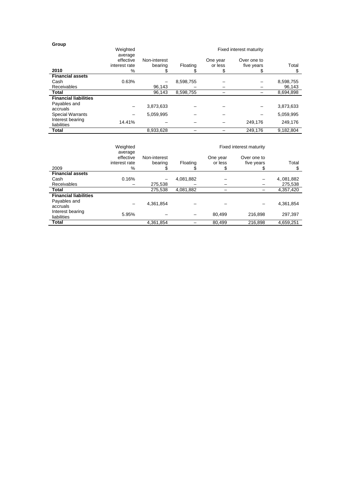| Group                           |                                       |                         |           |                     |                           |           |
|---------------------------------|---------------------------------------|-------------------------|-----------|---------------------|---------------------------|-----------|
|                                 | Weighted                              |                         |           |                     | Fixed interest maturity   |           |
|                                 | average<br>effective<br>interest rate | Non-interest<br>bearing | Floating  | One year<br>or less | Over one to<br>five years | Total     |
| 2010                            | $\%$                                  | S                       |           | \$                  | Ж                         | S         |
| <b>Financial assets</b>         |                                       |                         |           |                     |                           |           |
| Cash                            | 0.63%                                 |                         | 8,598,755 |                     |                           | 8,598,755 |
| <b>Receivables</b>              |                                       | 96.143                  |           |                     |                           | 96,143    |
| Total                           |                                       | 96,143                  | 8,598,755 |                     |                           | 8,694,898 |
| <b>Financial liabilities</b>    |                                       |                         |           |                     |                           |           |
| Payables and<br>accruals        |                                       | 3,873,633               |           |                     |                           | 3,873,633 |
| <b>Special Warrants</b>         |                                       | 5,059,995               |           |                     |                           | 5,059,995 |
| Interest bearing<br>liabilities | 14.41%                                |                         |           |                     | 249.176                   | 249.176   |
| Total                           |                                       | 8,933,628               |           |                     | 249.176                   | 9,182,804 |

|                                                          | Weighted                                      |                         |           |                           | <b>Fixed interest maturity</b> |             |
|----------------------------------------------------------|-----------------------------------------------|-------------------------|-----------|---------------------------|--------------------------------|-------------|
| 2009                                                     | average<br>effective<br>interest rate<br>$\%$ | Non-interest<br>bearing | Floating  | One year<br>or less<br>\$ | Over one to<br>five years<br>J | Total<br>\$ |
| <b>Financial assets</b>                                  |                                               |                         |           |                           |                                |             |
| Cash                                                     | 0.16%                                         |                         | 4,081,882 |                           |                                | 4, 081, 882 |
| Receivables                                              |                                               | 275,538                 |           |                           |                                | 275,538     |
| Total                                                    |                                               | 275,538                 | 4,081,882 |                           |                                | 4,357,420   |
| <b>Financial liabilities</b><br>Payables and<br>accruals |                                               | 4,361,854               |           |                           |                                | 4,361,854   |
| Interest bearing<br>liabilities                          | 5.95%                                         |                         |           | 80.499                    | 216.898                        | 297,397     |
| Total                                                    |                                               | 4,361,854               |           | 80.499                    | 216.898                        | 4.659.251   |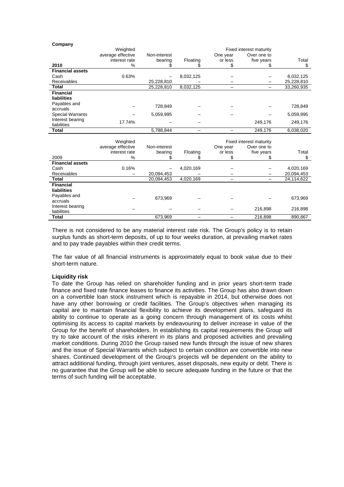|                                                        | Weighted<br>average effective<br>interest rate | Non-interest<br>bearing | Floating  | One year<br>or less | Fixed interest maturity<br>Over one to<br>five years | Total      |
|--------------------------------------------------------|------------------------------------------------|-------------------------|-----------|---------------------|------------------------------------------------------|------------|
| 2010                                                   | %                                              | \$                      | S         | \$                  | \$                                                   | \$         |
| <b>Financial assets</b>                                |                                                |                         |           |                     |                                                      |            |
| Cash                                                   | 0.63%                                          |                         | 8,032,125 |                     |                                                      | 8,032,125  |
| Receivables                                            |                                                | 25,228,810              |           |                     |                                                      | 25,228,810 |
| <b>Total</b>                                           |                                                | 25,228,810              | 8,032,125 |                     |                                                      | 33,260,935 |
| <b>Financial</b><br><b>liabilities</b><br>Payables and |                                                |                         |           |                     |                                                      |            |
| accruals                                               |                                                | 728,849                 |           |                     |                                                      | 728,849    |
| <b>Special Warrants</b>                                |                                                | 5,059,995               |           |                     |                                                      | 5,059,995  |
| Interest bearing<br>liabilities                        | 17.74%                                         |                         |           |                     | 249,176                                              | 249,176    |
| <b>Total</b>                                           |                                                | 5,788,844               |           |                     | 249,176                                              | 6,038,020  |
|                                                        |                                                |                         |           |                     |                                                      |            |
|                                                        | Weighted                                       |                         |           |                     | Fixed interest maturity                              |            |
|                                                        |                                                |                         |           |                     |                                                      |            |
|                                                        | average effective                              | Non-interest            |           | One year            | Over one to                                          |            |
|                                                        | interest rate                                  | bearing                 | Floating  | or less             | five years                                           | Total      |
| 2009                                                   | %                                              |                         |           | \$                  | \$                                                   | \$         |
| <b>Financial assets</b>                                |                                                |                         |           |                     |                                                      |            |
| Cash                                                   | 0.16%                                          |                         | 4,020,169 |                     |                                                      | 4,020,169  |
| Receivables                                            |                                                | 20,094,453              |           |                     |                                                      | 20,094,453 |
| <b>Total</b>                                           |                                                | 20,094,453              | 4,020,169 |                     |                                                      | 24,114,622 |
| <b>Financial</b><br>liabilities                        |                                                |                         |           |                     |                                                      |            |
| Payables and<br>accruals                               |                                                | 673,969                 |           |                     |                                                      | 673,969    |
| Interest bearing<br>liabilities                        |                                                |                         |           |                     | 216,898                                              | 216,898    |

There is not considered to be any material interest rate risk. The Group's policy is to retain surplus funds as short-term deposits, of up to four weeks duration, at prevailing market rates and to pay trade payables within their credit terms.

The fair value of all financial instruments is approximately equal to book value due to their short-term nature.

# **Liquidity risk**

**Company** 

To date the Group has relied on shareholder funding and in prior years short-term trade finance and fixed rate finance leases to finance its activities. The Group has also drawn down on a convertible loan stock instrument which is repayable in 2014, but otherwise does not have any other borrowing or credit facilities. The Group's objectives when managing its capital are to maintain financial flexibility to achieve its development plans, safeguard its ability to continue to operate as a going concern through management of its costs whilst optimising its access to capital markets by endeavouring to deliver increase in value of the Group for the benefit of shareholders. In establishing its capital requirements the Group will try to take account of the risks inherent in its plans and proposed activities and prevailing market conditions. During 2010 the Group raised new funds through the issue of new shares and the issue of Special Warrants which subject to certain condition are convertible into new shares. Continued development of the Group's projects will be dependent on the ability to attract additional funding, through joint ventures, asset disposals, new equity or debt. There is no guarantee that the Group will be able to secure adequate funding in the future or that the terms of such funding will be acceptable.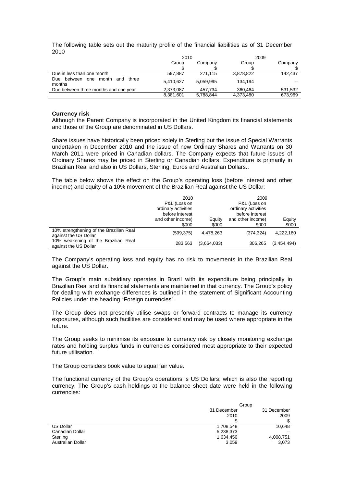The following table sets out the maturity profile of the financial liabilities as of 31 December 2010

|                                                          | 2010             |           | 2009      |         |
|----------------------------------------------------------|------------------|-----------|-----------|---------|
|                                                          | Group<br>Company |           | Group     | Company |
|                                                          |                  |           |           |         |
| Due in less than one month                               | 597.887          | 271.115   | 3.878.822 | 142.437 |
| month<br>Due<br>three<br>between<br>one<br>and<br>months | 5.410.627        | 5.059.995 | 134.194   |         |
| Due between three months and one year                    | 2.373.087        | 457.734   | 360.464   | 531,532 |
|                                                          | 8,381,601        | 5,788,844 | 4,373,480 | 673.969 |

## **Currency risk**

Although the Parent Company is incorporated in the United Kingdom its financial statements and those of the Group are denominated in US Dollars.

Share issues have historically been priced solely in Sterling but the issue of Special Warrants undertaken in December 2010 and the issue of new Ordinary Shares and Warrants on 30 March 2011 were priced in Canadian dollars. The Company expects that future issues of Ordinary Shares may be priced in Sterling or Canadian dollars. Expenditure is primarily in Brazilian Real and also in US Dollars, Sterling, Euros and Australian Dollars..

The table below shows the effect on the Group's operating loss (before interest and other income) and equity of a 10% movement of the Brazilian Real against the US Dollar:

|                                                                  | 2010<br>P&L (Loss on<br>ordinary activities<br>before interest | 2009<br>P&L (Loss on<br>ordinary activities<br>before interest |                            |                 |
|------------------------------------------------------------------|----------------------------------------------------------------|----------------------------------------------------------------|----------------------------|-----------------|
|                                                                  | and other income)<br>\$000                                     | Equity<br>\$000                                                | and other income)<br>\$000 | Equity<br>\$000 |
| 10% strengthening of the Brazilian Real<br>against the US Dollar | (599, 375)                                                     | 4,478,263                                                      | (374, 324)                 | 4,222,160       |
| 10% weakening of the Brazilian Real<br>against the US Dollar     | 283.563                                                        | (3,664,033)                                                    | 306.265                    | (3,454,494)     |

The Company's operating loss and equity has no risk to movements in the Brazilian Real against the US Dollar.

The Group's main subsidiary operates in Brazil with its expenditure being principally in Brazilian Real and its financial statements are maintained in that currency. The Group's policy for dealing with exchange differences is outlined in the statement of Significant Accounting Policies under the heading "Foreign currencies".

The Group does not presently utilise swaps or forward contracts to manage its currency exposures, although such facilities are considered and may be used where appropriate in the future.

The Group seeks to minimise its exposure to currency risk by closely monitoring exchange rates and holding surplus funds in currencies considered most appropriate to their expected future utilisation.

The Group considers book value to equal fair value.

The functional currency of the Group's operations is US Dollars, which is also the reporting currency. The Group's cash holdings at the balance sheet date were held in the following currencies:

|                   | Group       |             |
|-------------------|-------------|-------------|
|                   | 31 December | 31 December |
|                   | 2010        | 2009        |
|                   |             |             |
| US Dollar         | 1,708,548   | 10.648      |
| Canadian Dollar   | 5,238,373   |             |
| Sterling          | 1,634,450   | 4,008,751   |
| Australian Dollar | 3,059       | 3,073       |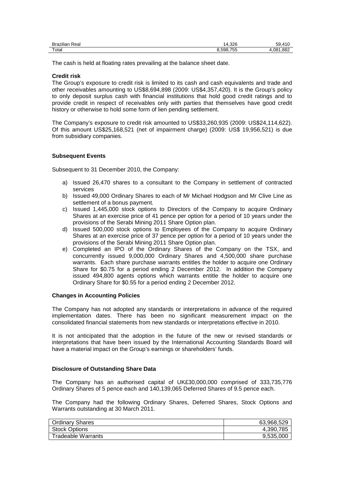| $\cdots$<br>$\overline{\phantom{0}}$<br>Real<br><b>Brazilian</b> | 14.326  | 50           |
|------------------------------------------------------------------|---------|--------------|
| Total                                                            | 598.755 | .882<br>.081 |

The cash is held at floating rates prevailing at the balance sheet date.

## **Credit risk**

The Group's exposure to credit risk is limited to its cash and cash equivalents and trade and other receivables amounting to US\$8,694,898 (2009: US\$4,357,420). It is the Group's policy to only deposit surplus cash with financial institutions that hold good credit ratings and to provide credit in respect of receivables only with parties that themselves have good credit history or otherwise to hold some form of lien pending settlement.

The Company's exposure to credit risk amounted to US\$33,260,935 (2009: US\$24,114,622). Of this amount US\$25,168,521 (net of impairment charge) (2009: US\$ 19,956,521) is due from subsidiary companies.

## **Subsequent Events**

Subsequent to 31 December 2010, the Company:

- a) Issued 26,470 shares to a consultant to the Company in settlement of contracted services
- b) Issued 49,000 Ordinary Shares to each of Mr Michael Hodgson and Mr Clive Line as settlement of a bonus payment.
- c) Issued 1,445,000 stock options to Directors of the Company to acquire Ordinary Shares at an exercise price of 41 pence per option for a period of 10 years under the provisions of the Serabi Mining 2011 Share Option plan.
- d) Issued 500,000 stock options to Employees of the Company to acquire Ordinary Shares at an exercise price of 37 pence per option for a period of 10 years under the provisions of the Serabi Mining 2011 Share Option plan.
- e) Completed an IPO of the Ordinary Shares of the Company on the TSX, and concurrently issued 9,000,000 Ordinary Shares and 4,500,000 share purchase warrants. Each share purchase warrants entitles the holder to acquire one Ordinary Share for \$0.75 for a period ending 2 December 2012. In addition the Company issued 494,800 agents options which warrants entitle the holder to acquire one Ordinary Share for \$0.55 for a period ending 2 December 2012.

#### **Changes in Accounting Policies**

The Company has not adopted any standards or interpretations in advance of the required implementation dates. There has been no significant measurement impact on the consolidated financial statements from new standards or interpretations effective in 2010.

It is not anticipated that the adoption in the future of the new or revised standards or interpretations that have been issued by the International Accounting Standards Board will have a material impact on the Group's earnings or shareholders' funds.

#### **Disclosure of Outstanding Share Data**

The Company has an authorised capital of UK£30,000,000 comprised of 333,735,776 Ordinary Shares of 5 pence each and 140,139,065 Deferred Shares of 9.5 pence each.

The Company had the following Ordinary Shares, Deferred Shares, Stock Options and Warrants outstanding at 30 March 2011.

| <b>Ordinary Shares</b>    | 63.968.529 |
|---------------------------|------------|
| <b>Stock Options</b>      | 4,390,785  |
| <b>Tradeable Warrants</b> | 9.535.000  |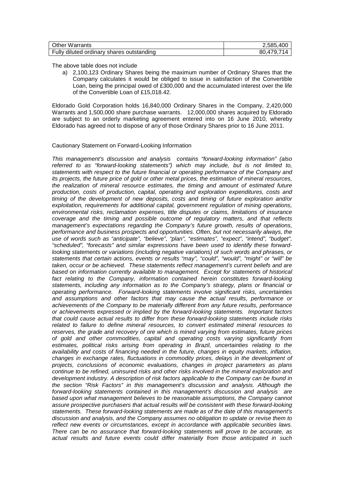| <b>Other Warrants</b>                     | 2,585,400  |
|-------------------------------------------|------------|
| Fully diluted ordinary shares outstanding | 80.479.714 |

The above table does not include

a) 2,100,123 Ordinary Shares being the maximum number of Ordinary Shares that the Company calculates it would be obliged to issue in satisfaction of the Convertible Loan, being the principal owed of £300,000 and the accumulated interest over the life of the Convertible Loan of £15,018.42.

Eldorado Gold Corporation holds 16,840,000 Ordinary Shares in the Company, 2,420,000 Warrants and 1,500,000 share purchase warrants. 12,000,000 shares acquired by Eldorado are subject to an orderly marketing agreement entered into on 16 June 2010, whereby Eldorado has agreed not to dispose of any of those Ordinary Shares prior to 16 June 2011.

# Cautionary Statement on Forward-Looking Information

This management's discussion and analysis contains "forward-looking information" (also referred to as "forward-looking statements") which may include, but is not limited to, statements with respect to the future financial or operating performance of the Company and its projects, the future price of gold or other metal prices, the estimation of mineral resources, the realization of mineral resource estimates, the timing and amount of estimated future production, costs of production, capital, operating and exploration expenditures, costs and timing of the development of new deposits, costs and timing of future exploration and/or exploitation, requirements for additional capital, government regulation of mining operations, environmental risks, reclamation expenses, title disputes or claims, limitations of insurance coverage and the timing and possible outcome of regulatory matters, and that reflects management's expectations regarding the Company's future growth, results of operations, performance and business prospects and opportunities. Often, but not necessarily always, the use of words such as "anticipate", "believe", "plan", "estimates", "expect", "intend", "budget", "scheduled", "forecasts" and similar expressions have been used to identify these forwardlooking statements or variations (including negative variations) of such words and phrases, or statements that certain actions, events or results "may", "could", "would", "might" or "will" be taken, occur or be achieved. These statements reflect management's current beliefs and are based on information currently available to management. Except for statements of historical fact relating to the Company, information contained herein constitutes forward-looking statements, including any information as to the Company's strategy, plans or financial or operating performance. Forward-looking statements involve significant risks, uncertainties and assumptions and other factors that may cause the actual results, performance or achievements of the Company to be materially different from any future results, performance or achievements expressed or implied by the forward-looking statements. Important factors that could cause actual results to differ from these forward-looking statements include risks related to failure to define mineral resources, to convert estimated mineral resources to reserves, the grade and recovery of ore which is mined varying from estimates, future prices of gold and other commodities, capital and operating costs varying significantly from estimates, political risks arising from operating in Brazil, uncertainties relating to the availability and costs of financing needed in the future, changes in equity markets, inflation, changes in exchange rates, fluctuations in commodity prices, delays in the development of projects, conclusions of economic evaluations, changes in project parameters as plans continue to be refined, uninsured risks and other risks involved in the mineral exploration and development industry. A description of risk factors applicable to the Company can be found in the section "Risk Factors" in this management's discussion and analysis. Although the forward-looking statements contained in this management's discussion and analysis are based upon what management believes to be reasonable assumptions, the Company cannot assure prospective purchasers that actual results will be consistent with these forward-looking statements. These forward-looking statements are made as of the date of this management's discussion and analysis, and the Company assumes no obligation to update or revise them to reflect new events or circumstances, except in accordance with applicable securities laws. There can be no assurance that forward-looking statements will prove to be accurate, as actual results and future events could differ materially from those anticipated in such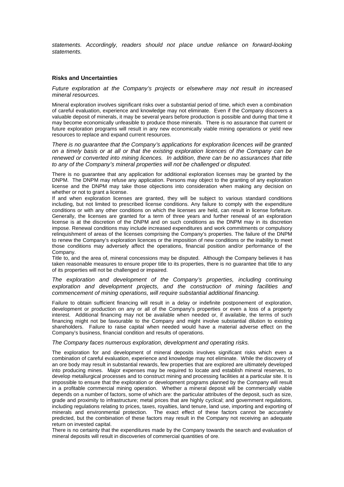statements. Accordingly, readers should not place undue reliance on forward-looking statements.

## **Risks and Uncertainties**

Future exploration at the Company's projects or elsewhere may not result in increased mineral resources.

Mineral exploration involves significant risks over a substantial period of time, which even a combination of careful evaluation, experience and knowledge may not eliminate. Even if the Company discovers a valuable deposit of minerals, it may be several years before production is possible and during that time it may become economically unfeasible to produce those minerals. There is no assurance that current or future exploration programs will result in any new economically viable mining operations or yield new resources to replace and expand current resources.

There is no guarantee that the Company's applications for exploration licences will be granted on a timely basis or at all or that the existing exploration licences of the Company can be renewed or converted into mining licences. In addition, there can be no assurances that title to any of the Company's mineral properties will not be challenged or disputed.

There is no guarantee that any application for additional exploration licenses may be granted by the DNPM. The DNPM may refuse any application. Persons may object to the granting of any exploration license and the DNPM may take those objections into consideration when making any decision on whether or not to grant a license.

If and when exploration licenses are granted, they will be subject to various standard conditions including, but not limited to prescribed license conditions. Any failure to comply with the expenditure conditions or with any other conditions on which the licenses are held, can result in license forfeiture. Generally, the licenses are granted for a term of three years and further renewal of an exploration license is at the discretion of the DNPM and on such conditions as the DNPM may in its discretion impose. Renewal conditions may include increased expenditures and work commitments or compulsory relinquishment of areas of the licenses comprising the Company's properties. The failure of the DNPM to renew the Company's exploration licences or the imposition of new conditions or the inability to meet those conditions may adversely affect the operations, financial position and/or performance of the Company.

Title to, and the area of, mineral concessions may be disputed. Although the Company believes it has taken reasonable measures to ensure proper title to its properties, there is no guarantee that title to any of its properties will not be challenged or impaired.

The exploration and development of the Company's properties, including continuing exploration and development projects, and the construction of mining facilities and commencement of mining operations, will require substantial additional financing.

Failure to obtain sufficient financing will result in a delay or indefinite postponement of exploration, development or production on any or all of the Company's properties or even a loss of a property interest. Additional financing may not be available when needed or, if available, the terms of such financing might not be favourable to the Company and might involve substantial dilution to existing shareholders. Failure to raise capital when needed would have a material adverse effect on the Company's business, financial condition and results of operations.

The Company faces numerous exploration, development and operating risks.

The exploration for and development of mineral deposits involves significant risks which even a combination of careful evaluation, experience and knowledge may not eliminate. While the discovery of an ore body may result in substantial rewards, few properties that are explored are ultimately developed into producing mines. Major expenses may be required to locate and establish mineral reserves, to develop metallurgical processes and to construct mining and processing facilities at a particular site. It is impossible to ensure that the exploration or development programs planned by the Company will result in a profitable commercial mining operation. Whether a mineral deposit will be commercially viable depends on a number of factors, some of which are: the particular attributes of the deposit, such as size, grade and proximity to infrastructure; metal prices that are highly cyclical; and government regulations, including regulations relating to prices, taxes, royalties, land tenure, land use, importing and exporting of minerals and environmental protection. The exact effect of these factors cannot be accurately predicted, but the combination of these factors may result in the Company not receiving an adequate return on invested capital.

There is no certainty that the expenditures made by the Company towards the search and evaluation of mineral deposits will result in discoveries of commercial quantities of ore.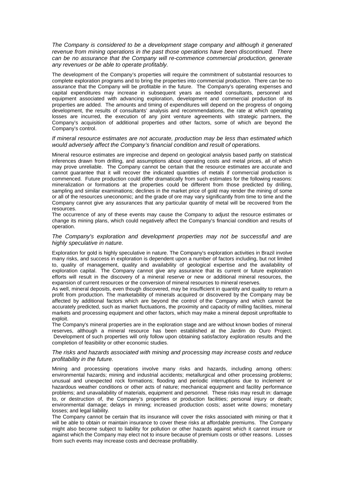The Company is considered to be a development stage company and although it generated revenue from mining operations in the past those operations have been discontinued. There can be no assurance that the Company will re-commence commercial production, generate any revenues or be able to operate profitably.

The development of the Company's properties will require the commitment of substantial resources to complete exploration programs and to bring the properties into commercial production. There can be no assurance that the Company will be profitable in the future. The Company's operating expenses and capital expenditures may increase in subsequent years as needed consultants, personnel and equipment associated with advancing exploration, development and commercial production of its properties are added. The amounts and timing of expenditures will depend on the progress of ongoing development, the results of consultants' analysis and recommendations, the rate at which operating losses are incurred, the execution of any joint venture agreements with strategic partners, the Company's acquisition of additional properties and other factors, some of which are beyond the Company's control.

#### If mineral resource estimates are not accurate, production may be less than estimated which would adversely affect the Company's financial condition and result of operations.

Mineral resource estimates are imprecise and depend on geological analysis based partly on statistical inferences drawn from drilling, and assumptions about operating costs and metal prices, all of which may prove unreliable. The Company cannot be certain that the resource estimates are accurate and cannot guarantee that it will recover the indicated quantities of metals if commercial production is commenced. Future production could differ dramatically from such estimates for the following reasons: mineralization or formations at the properties could be different from those predicted by drilling, sampling and similar examinations; declines in the market price of gold may render the mining of some or all of the resources uneconomic; and the grade of ore may vary significantly from time to time and the Company cannot give any assurances that any particular quantity of metal will be recovered from the resources.

The occurrence of any of these events may cause the Company to adjust the resource estimates or change its mining plans, which could negatively affect the Company's financial condition and results of operation.

#### The Company's exploration and development properties may not be successful and are highly speculative in nature.

Exploration for gold is highly speculative in nature. The Company's exploration activities in Brazil involve many risks, and success in exploration is dependent upon a number of factors including, but not limited to, quality of management, quality and availability of geological expertise and the availability of exploration capital. The Company cannot give any assurance that its current or future exploration efforts will result in the discovery of a mineral reserve or new or additional mineral resources, the expansion of current resources or the conversion of mineral resources to mineral reserves.

As well, mineral deposits, even though discovered, may be insufficient in quantity and quality to return a profit from production. The marketability of minerals acquired or discovered by the Company may be affected by additional factors which are beyond the control of the Company and which cannot be accurately predicted, such as market fluctuations, the proximity and capacity of milling facilities, mineral markets and processing equipment and other factors, which may make a mineral deposit unprofitable to exploit.

The Company's mineral properties are in the exploration stage and are without known bodies of mineral reserves, although a mineral resource has been established at the Jardim do Ouro Project. Development of such properties will only follow upon obtaining satisfactory exploration results and the completion of feasibility or other economic studies.

#### The risks and hazards associated with mining and processing may increase costs and reduce profitability in the future.

Mining and processing operations involve many risks and hazards, including among others: environmental hazards; mining and industrial accidents; metallurgical and other processing problems; unusual and unexpected rock formations; flooding and periodic interruptions due to inclement or hazardous weather conditions or other acts of nature; mechanical equipment and facility performance problems; and unavailability of materials, equipment and personnel. These risks may result in: damage to, or destruction of, the Company's properties or production facilities; personal injury or death; environmental damage; delays in mining; increased production costs; asset write downs; monetary losses: and legal liability.

The Company cannot be certain that its insurance will cover the risks associated with mining or that it will be able to obtain or maintain insurance to cover these risks at affordable premiums. The Company might also become subject to liability for pollution or other hazards against which it cannot insure or against which the Company may elect not to insure because of premium costs or other reasons. Losses from such events may increase costs and decrease profitability.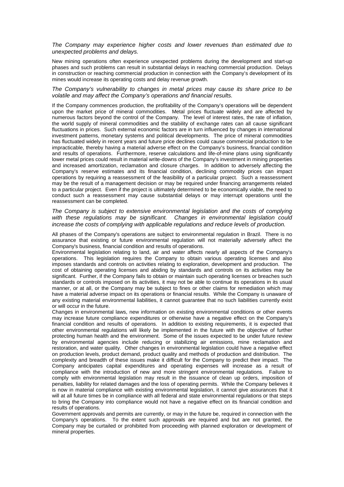#### The Company may experience higher costs and lower revenues than estimated due to unexpected problems and delays.

New mining operations often experience unexpected problems during the development and start-up phases and such problems can result in substantial delays in reaching commercial production. Delays in construction or reaching commercial production in connection with the Company's development of its mines would increase its operating costs and delay revenue growth.

#### The Company's vulnerability to changes in metal prices may cause its share price to be volatile and may affect the Company's operations and financial results.

If the Company commences production, the profitability of the Company's operations will be dependent upon the market price of mineral commodities. Metal prices fluctuate widely and are affected by numerous factors beyond the control of the Company. The level of interest rates, the rate of inflation, the world supply of mineral commodities and the stability of exchange rates can all cause significant fluctuations in prices. Such external economic factors are in turn influenced by changes in international investment patterns, monetary systems and political developments. The price of mineral commodities has fluctuated widely in recent years and future price declines could cause commercial production to be impracticable, thereby having a material adverse effect on the Company's business, financial condition and results of operations. Furthermore, reserve calculations and life-of-mine plans using significantly lower metal prices could result in material write-downs of the Company's investment in mining properties and increased amortization, reclamation and closure charges. In addition to adversely affecting the Company's reserve estimates and its financial condition, declining commodity prices can impact operations by requiring a reassessment of the feasibility of a particular project. Such a reassessment may be the result of a management decision or may be required under financing arrangements related to a particular project. Even if the project is ultimately determined to be economically viable, the need to conduct such a reassessment may cause substantial delays or may interrupt operations until the reassessment can be completed.

#### The Company is subject to extensive environmental legislation and the costs of complying with these regulations may be significant. Changes in environmental legislation could increase the costs of complying with applicable regulations and reduce levels of production.

All phases of the Company's operations are subject to environmental regulation in Brazil. There is no assurance that existing or future environmental regulation will not materially adversely affect the Company's business, financial condition and results of operations.

Environmental legislation relating to land, air and water affects nearly all aspects of the Company's operations. This legislation requires the Company to obtain various operating licenses and also imposes standards and controls on activities relating to exploration, development and production. The cost of obtaining operating licenses and abiding by standards and controls on its activities may be significant. Further, if the Company fails to obtain or maintain such operating licenses or breaches such standards or controls imposed on its activities, it may not be able to continue its operations in its usual manner, or at all, or the Company may be subject to fines or other claims for remediation which may have a material adverse impact on its operations or financial results. While the Company is unaware of any existing material environmental liabilities, it cannot guarantee that no such liabilities currently exist or will occur in the future.

Changes in environmental laws, new information on existing environmental conditions or other events may increase future compliance expenditures or otherwise have a negative effect on the Company's financial condition and results of operations. In addition to existing requirements, it is expected that other environmental regulations will likely be implemented in the future with the objective of further protecting human health and the environment. Some of the issues expected to be under future review by environmental agencies include reducing or stabilizing air emissions, mine reclamation and restoration, and water quality. Other changes in environmental legislation could have a negative effect on production levels, product demand, product quality and methods of production and distribution. The complexity and breadth of these issues make it difficult for the Company to predict their impact. The Company anticipates capital expenditures and operating expenses will increase as a result of compliance with the introduction of new and more stringent environmental regulations. Failure to comply with environmental legislation may result in the issuance of clean up orders, imposition of penalties, liability for related damages and the loss of operating permits. While the Company believes it is now in material compliance with existing environmental legislation, it cannot give assurances that it will at all future times be in compliance with all federal and state environmental regulations or that steps to bring the Company into compliance would not have a negative effect on its financial condition and results of operations.

Government approvals and permits are currently, or may in the future be, required in connection with the Company's operations. To the extent such approvals are required and but are not granted, the Company may be curtailed or prohibited from proceeding with planned exploration or development of mineral properties.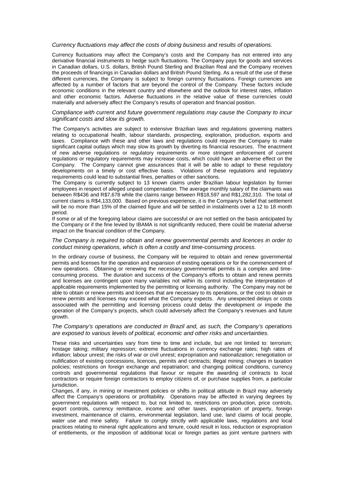#### Currency fluctuations may affect the costs of doing business and results of operations.

Currency fluctuations may affect the Company's costs and the Company has not entered into any derivative financial instruments to hedge such fluctuations. The Company pays for goods and services in Canadian dollars, U.S. dollars, British Pound Sterling and Brazilian Real and the Company receives the proceeds of financings in Canadian dollars and British Pound Sterling. As a result of the use of these different currencies, the Company is subject to foreign currency fluctuations. Foreign currencies are affected by a number of factors that are beyond the control of the Company. These factors include economic conditions in the relevant country and elsewhere and the outlook for interest rates, inflation and other economic factors. Adverse fluctuations in the relative value of these currencies could materially and adversely affect the Company's results of operation and financial position.

#### Compliance with current and future government regulations may cause the Company to incur significant costs and slow its growth.

The Company's activities are subject to extensive Brazilian laws and regulations governing matters relating to occupational health, labour standards, prospecting, exploration, production, exports and taxes. Compliance with these and other laws and regulations could require the Company to make significant capital outlays which may slow its growth by diverting its financial resources. The enactment of new adverse regulations or regulatory requirements or more stringent enforcement of current regulations or regulatory requirements may increase costs, which could have an adverse effect on the Company. The Company cannot give assurances that it will be able to adapt to these regulatory developments on a timely or cost effective basis. Violations of these regulations and regulatory requirements could lead to substantial fines, penalties or other sanctions.

The Company is currently subject to 13 known claims under Brazilian labour legislation by former employees in respect of alleged unpaid compensation. The average monthly salary of the claimants was between R\$436 and R\$7,678 while the claims range between R\$18,597 and R\$1,282,310. The total of current claims is R\$4,133,000. Based on previous experience, it is the Company's belief that settlement will be no more than 15% of the claimed figure and will be settled in instalments over a 12 to 18 month period.

If some or all of the foregoing labour claims are successful or are not settled on the basis anticipated by the Company or if the fine levied by IBAMA is not significantly reduced, there could be material adverse impact on the financial condition of the Company.

## The Company is required to obtain and renew governmental permits and licences in order to conduct mining operations, which is often a costly and time-consuming process.

In the ordinary course of business, the Company will be required to obtain and renew governmental permits and licenses for the operation and expansion of existing operations or for the commencement of new operations. Obtaining or renewing the necessary governmental permits is a complex and timeconsuming process. The duration and success of the Company's efforts to obtain and renew permits and licenses are contingent upon many variables not within its control including the interpretation of applicable requirements implemented by the permitting or licensing authority. The Company may not be able to obtain or renew permits and licenses that are necessary to its operations, or the cost to obtain or renew permits and licenses may exceed what the Company expects. Any unexpected delays or costs associated with the permitting and licensing process could delay the development or impede the operation of the Company's projects, which could adversely affect the Company's revenues and future growth.

## The Company's operations are conducted in Brazil and, as such, the Company's operations are exposed to various levels of political, economic and other risks and uncertainties.

These risks and uncertainties vary from time to time and include, but are not limited to: terrorism; hostage taking; military repression; extreme fluctuations in currency exchange rates; high rates of inflation; labour unrest; the risks of war or civil unrest; expropriation and nationalization; renegotiation or nullification of existing concessions, licences, permits and contracts; illegal mining; changes in taxation policies; restrictions on foreign exchange and repatriation; and changing political conditions, currency controls and governmental regulations that favour or require the awarding of contracts to local contractors or require foreign contractors to employ citizens of, or purchase supplies from, a particular jurisdiction.

Changes, if any, in mining or investment policies or shifts in political attitude in Brazil may adversely affect the Company's operations or profitability. Operations may be affected in varying degrees by government regulations with respect to, but not limited to, restrictions on production, price controls, export controls, currency remittance, income and other taxes, expropriation of property, foreign investment, maintenance of claims, environmental legislation, land use, land claims of local people, water use and mine safety. Failure to comply strictly with applicable laws, regulations and local practices relating to mineral right applications and tenure, could result in loss, reduction or expropriation of entitlements, or the imposition of additional local or foreign parties as joint venture partners with